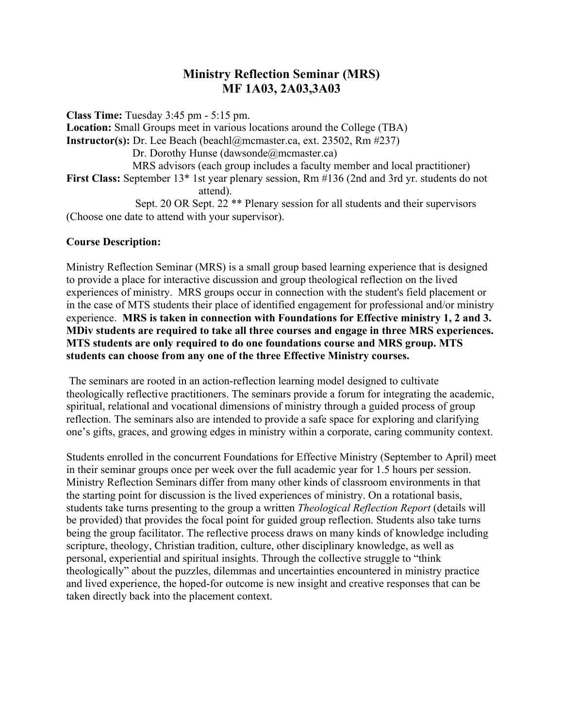# **Ministry Reflection Seminar (MRS) MF 1A03, 2A03,3A03**

**Class Time:** Tuesday 3:45 pm - 5:15 pm. **Location:** Small Groups meet in various locations around the College (TBA) **Instructor(s):** Dr. Lee Beach (beachl@mcmaster.ca, ext. 23502, Rm #237) Dr. Dorothy Hunse (dawsonde@mcmaster.ca) MRS advisors (each group includes a faculty member and local practitioner) **First Class:** September 13\* 1st year plenary session, Rm #136 (2nd and 3rd yr. students do not attend). Sept. 20 OR Sept. 22 \*\* Plenary session for all students and their supervisors (Choose one date to attend with your supervisor).

### **Course Description:**

Ministry Reflection Seminar (MRS) is a small group based learning experience that is designed to provide a place for interactive discussion and group theological reflection on the lived experiences of ministry. MRS groups occur in connection with the student's field placement or in the case of MTS students their place of identified engagement for professional and/or ministry experience. **MRS is taken in connection with Foundations for Effective ministry 1, 2 and 3. MDiv students are required to take all three courses and engage in three MRS experiences. MTS students are only required to do one foundations course and MRS group. MTS students can choose from any one of the three Effective Ministry courses.** 

The seminars are rooted in an action-reflection learning model designed to cultivate theologically reflective practitioners. The seminars provide a forum for integrating the academic, spiritual, relational and vocational dimensions of ministry through a guided process of group reflection. The seminars also are intended to provide a safe space for exploring and clarifying one's gifts, graces, and growing edges in ministry within a corporate, caring community context.

Students enrolled in the concurrent Foundations for Effective Ministry (September to April) meet in their seminar groups once per week over the full academic year for 1.5 hours per session. Ministry Reflection Seminars differ from many other kinds of classroom environments in that the starting point for discussion is the lived experiences of ministry. On a rotational basis, students take turns presenting to the group a written *Theological Reflection Report* (details will be provided) that provides the focal point for guided group reflection. Students also take turns being the group facilitator. The reflective process draws on many kinds of knowledge including scripture, theology, Christian tradition, culture, other disciplinary knowledge, as well as personal, experiential and spiritual insights. Through the collective struggle to "think theologically" about the puzzles, dilemmas and uncertainties encountered in ministry practice and lived experience, the hoped-for outcome is new insight and creative responses that can be taken directly back into the placement context.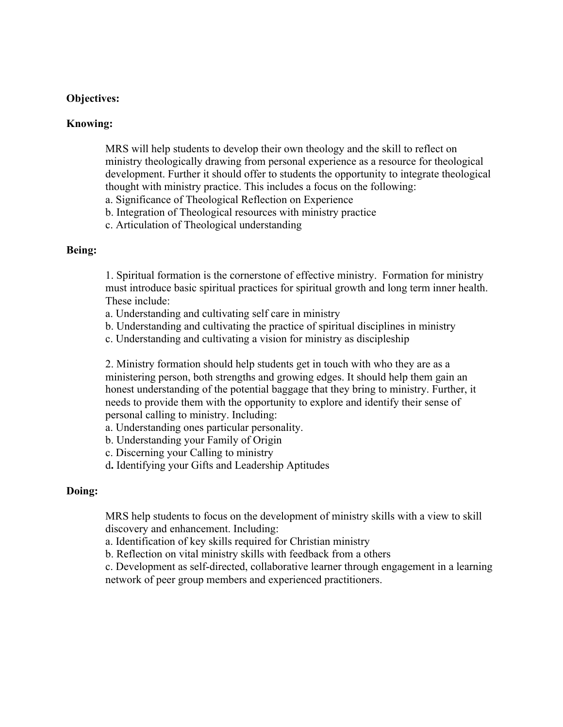#### **Objectives:**

#### **Knowing:**

MRS will help students to develop their own theology and the skill to reflect on ministry theologically drawing from personal experience as a resource for theological development. Further it should offer to students the opportunity to integrate theological thought with ministry practice. This includes a focus on the following:

a. Significance of Theological Reflection on Experience

b. Integration of Theological resources with ministry practice

c. Articulation of Theological understanding

#### **Being:**

1. Spiritual formation is the cornerstone of effective ministry. Formation for ministry must introduce basic spiritual practices for spiritual growth and long term inner health. These include:

- a. Understanding and cultivating self care in ministry
- b. Understanding and cultivating the practice of spiritual disciplines in ministry
- c. Understanding and cultivating a vision for ministry as discipleship

2. Ministry formation should help students get in touch with who they are as a ministering person, both strengths and growing edges. It should help them gain an honest understanding of the potential baggage that they bring to ministry. Further, it needs to provide them with the opportunity to explore and identify their sense of personal calling to ministry. Including:

- a. Understanding ones particular personality.
- b. Understanding your Family of Origin
- c. Discerning your Calling to ministry

d**.** Identifying your Gifts and Leadership Aptitudes

### **Doing:**

MRS help students to focus on the development of ministry skills with a view to skill discovery and enhancement. Including:

a. Identification of key skills required for Christian ministry

b. Reflection on vital ministry skills with feedback from a others

c. Development as self-directed, collaborative learner through engagement in a learning network of peer group members and experienced practitioners.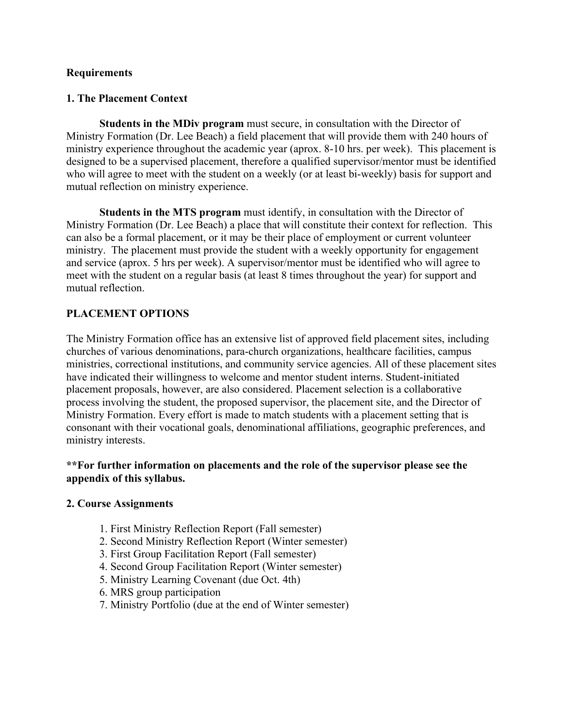### **Requirements**

### **1. The Placement Context**

**Students in the MDiv program** must secure, in consultation with the Director of Ministry Formation (Dr. Lee Beach) a field placement that will provide them with 240 hours of ministry experience throughout the academic year (aprox. 8-10 hrs. per week). This placement is designed to be a supervised placement, therefore a qualified supervisor/mentor must be identified who will agree to meet with the student on a weekly (or at least bi-weekly) basis for support and mutual reflection on ministry experience.

**Students in the MTS program** must identify, in consultation with the Director of Ministry Formation (Dr. Lee Beach) a place that will constitute their context for reflection. This can also be a formal placement, or it may be their place of employment or current volunteer ministry. The placement must provide the student with a weekly opportunity for engagement and service (aprox. 5 hrs per week). A supervisor/mentor must be identified who will agree to meet with the student on a regular basis (at least 8 times throughout the year) for support and mutual reflection.

## **PLACEMENT OPTIONS**

The Ministry Formation office has an extensive list of approved field placement sites, including churches of various denominations, para-church organizations, healthcare facilities, campus ministries, correctional institutions, and community service agencies. All of these placement sites have indicated their willingness to welcome and mentor student interns. Student-initiated placement proposals, however, are also considered. Placement selection is a collaborative process involving the student, the proposed supervisor, the placement site, and the Director of Ministry Formation. Every effort is made to match students with a placement setting that is consonant with their vocational goals, denominational affiliations, geographic preferences, and ministry interests.

### **\*\*For further information on placements and the role of the supervisor please see the appendix of this syllabus.**

#### **2. Course Assignments**

- 1. First Ministry Reflection Report (Fall semester)
- 2. Second Ministry Reflection Report (Winter semester)
- 3. First Group Facilitation Report (Fall semester)
- 4. Second Group Facilitation Report (Winter semester)
- 5. Ministry Learning Covenant (due Oct. 4th)
- 6. MRS group participation
- 7. Ministry Portfolio (due at the end of Winter semester)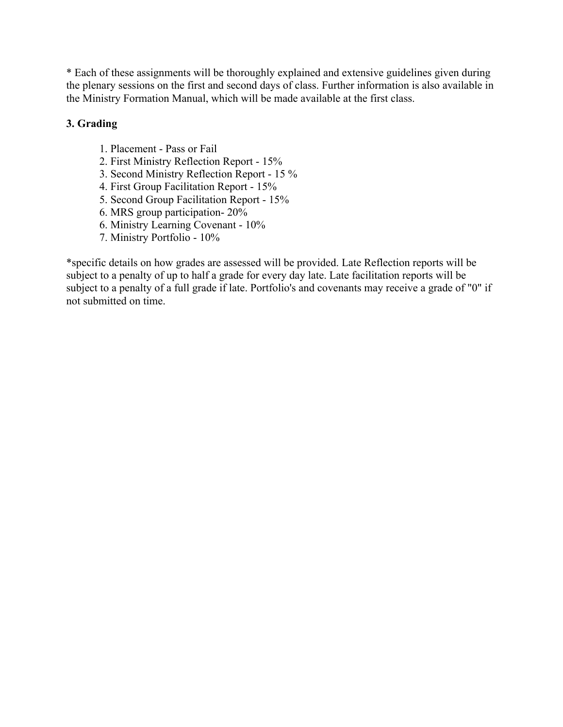\* Each of these assignments will be thoroughly explained and extensive guidelines given during the plenary sessions on the first and second days of class. Further information is also available in the Ministry Formation Manual, which will be made available at the first class.

## **3. Grading**

- 1. Placement Pass or Fail
- 2. First Ministry Reflection Report 15%
- 3. Second Ministry Reflection Report 15 %
- 4. First Group Facilitation Report 15%
- 5. Second Group Facilitation Report 15%
- 6. MRS group participation- 20%
- 6. Ministry Learning Covenant 10%
- 7. Ministry Portfolio 10%

\*specific details on how grades are assessed will be provided. Late Reflection reports will be subject to a penalty of up to half a grade for every day late. Late facilitation reports will be subject to a penalty of a full grade if late. Portfolio's and covenants may receive a grade of "0" if not submitted on time.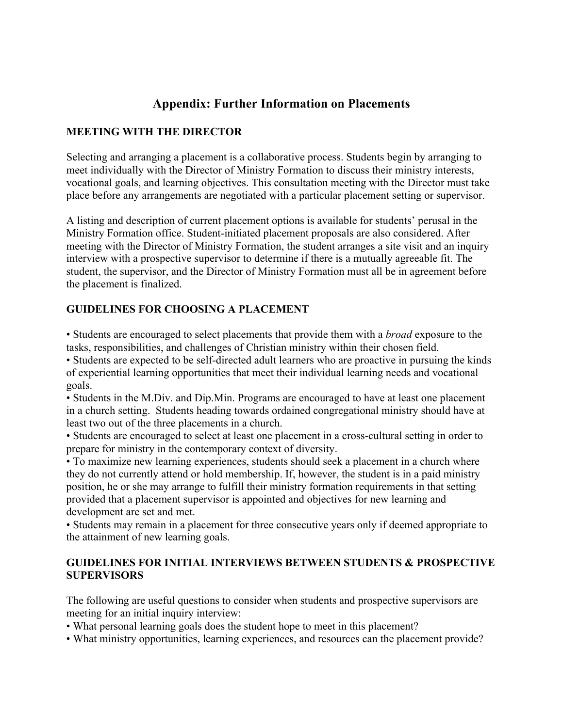# **Appendix: Further Information on Placements**

# **MEETING WITH THE DIRECTOR**

Selecting and arranging a placement is a collaborative process. Students begin by arranging to meet individually with the Director of Ministry Formation to discuss their ministry interests, vocational goals, and learning objectives. This consultation meeting with the Director must take place before any arrangements are negotiated with a particular placement setting or supervisor.

A listing and description of current placement options is available for students' perusal in the Ministry Formation office. Student-initiated placement proposals are also considered. After meeting with the Director of Ministry Formation, the student arranges a site visit and an inquiry interview with a prospective supervisor to determine if there is a mutually agreeable fit. The student, the supervisor, and the Director of Ministry Formation must all be in agreement before the placement is finalized.

## **GUIDELINES FOR CHOOSING A PLACEMENT**

• Students are encouraged to select placements that provide them with a *broad* exposure to the tasks, responsibilities, and challenges of Christian ministry within their chosen field.

• Students are expected to be self-directed adult learners who are proactive in pursuing the kinds of experiential learning opportunities that meet their individual learning needs and vocational goals.

• Students in the M.Div. and Dip.Min. Programs are encouraged to have at least one placement in a church setting. Students heading towards ordained congregational ministry should have at least two out of the three placements in a church.

• Students are encouraged to select at least one placement in a cross-cultural setting in order to prepare for ministry in the contemporary context of diversity.

• To maximize new learning experiences, students should seek a placement in a church where they do not currently attend or hold membership. If, however, the student is in a paid ministry position, he or she may arrange to fulfill their ministry formation requirements in that setting provided that a placement supervisor is appointed and objectives for new learning and development are set and met.

• Students may remain in a placement for three consecutive years only if deemed appropriate to the attainment of new learning goals.

## **GUIDELINES FOR INITIAL INTERVIEWS BETWEEN STUDENTS & PROSPECTIVE SUPERVISORS**

The following are useful questions to consider when students and prospective supervisors are meeting for an initial inquiry interview:

• What personal learning goals does the student hope to meet in this placement?

• What ministry opportunities, learning experiences, and resources can the placement provide?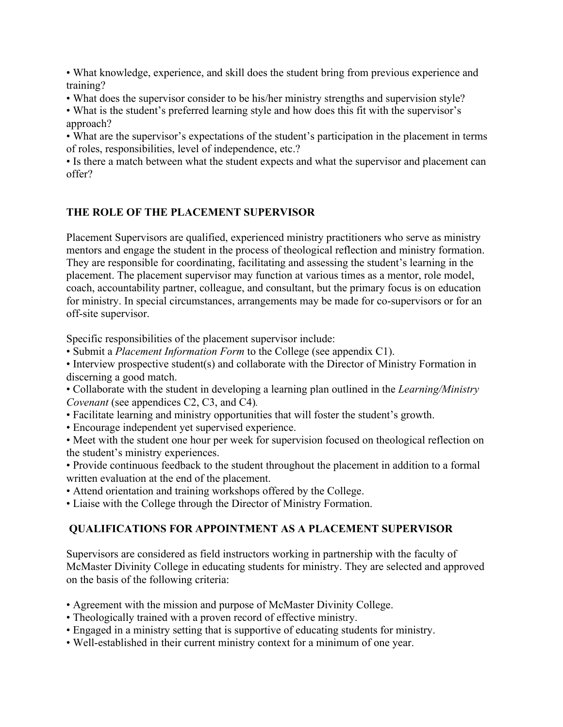• What knowledge, experience, and skill does the student bring from previous experience and training?

• What does the supervisor consider to be his/her ministry strengths and supervision style?

• What is the student's preferred learning style and how does this fit with the supervisor's approach?

• What are the supervisor's expectations of the student's participation in the placement in terms of roles, responsibilities, level of independence, etc.?

• Is there a match between what the student expects and what the supervisor and placement can offer?

# **THE ROLE OF THE PLACEMENT SUPERVISOR**

Placement Supervisors are qualified, experienced ministry practitioners who serve as ministry mentors and engage the student in the process of theological reflection and ministry formation. They are responsible for coordinating, facilitating and assessing the student's learning in the placement. The placement supervisor may function at various times as a mentor, role model, coach, accountability partner, colleague, and consultant, but the primary focus is on education for ministry. In special circumstances, arrangements may be made for co-supervisors or for an off-site supervisor.

Specific responsibilities of the placement supervisor include:

• Submit a *Placement Information Form* to the College (see appendix C1).

• Interview prospective student(s) and collaborate with the Director of Ministry Formation in discerning a good match.

• Collaborate with the student in developing a learning plan outlined in the *Learning/Ministry Covenant* (see appendices C2, C3, and C4)*.*

- Facilitate learning and ministry opportunities that will foster the student's growth.
- Encourage independent yet supervised experience.

• Meet with the student one hour per week for supervision focused on theological reflection on the student's ministry experiences.

- Provide continuous feedback to the student throughout the placement in addition to a formal written evaluation at the end of the placement.
- Attend orientation and training workshops offered by the College.

• Liaise with the College through the Director of Ministry Formation.

# **QUALIFICATIONS FOR APPOINTMENT AS A PLACEMENT SUPERVISOR**

Supervisors are considered as field instructors working in partnership with the faculty of McMaster Divinity College in educating students for ministry. They are selected and approved on the basis of the following criteria:

- Agreement with the mission and purpose of McMaster Divinity College.
- Theologically trained with a proven record of effective ministry.
- Engaged in a ministry setting that is supportive of educating students for ministry.
- Well-established in their current ministry context for a minimum of one year.